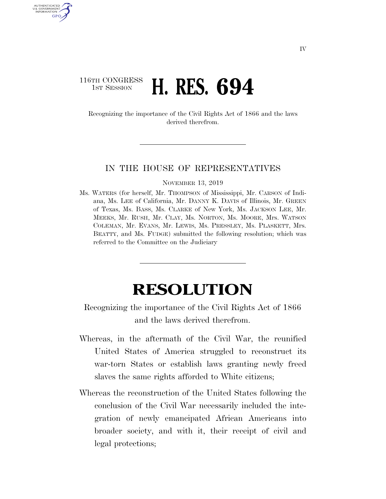## 116TH CONGRESS **1ST SESSION <b>H. RES. 694**

U.S. GOVERNMENT GPO

> Recognizing the importance of the Civil Rights Act of 1866 and the laws derived therefrom.

## IN THE HOUSE OF REPRESENTATIVES

NOVEMBER 13, 2019

Ms. WATERS (for herself, Mr. THOMPSON of Mississippi, Mr. CARSON of Indiana, Ms. LEE of California, Mr. DANNY K. DAVIS of Illinois, Mr. GREEN of Texas, Ms. BASS, Ms. CLARKE of New York, Ms. JACKSON LEE, Mr. MEEKS, Mr. RUSH, Mr. CLAY, Ms. NORTON, Ms. MOORE, Mrs. WATSON COLEMAN, Mr. EVANS, Mr. LEWIS, Ms. PRESSLEY, Ms. PLASKETT, Mrs. BEATTY, and Ms. FUDGE) submitted the following resolution; which was referred to the Committee on the Judiciary

## **RESOLUTION**

Recognizing the importance of the Civil Rights Act of 1866 and the laws derived therefrom.

- Whereas, in the aftermath of the Civil War, the reunified United States of America struggled to reconstruct its war-torn States or establish laws granting newly freed slaves the same rights afforded to White citizens;
- Whereas the reconstruction of the United States following the conclusion of the Civil War necessarily included the integration of newly emancipated African Americans into broader society, and with it, their receipt of civil and legal protections;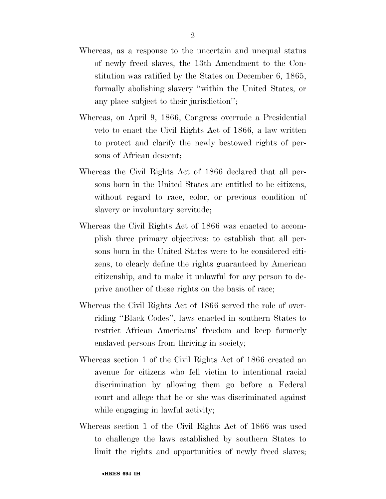- Whereas, as a response to the uncertain and unequal status of newly freed slaves, the 13th Amendment to the Constitution was ratified by the States on December 6, 1865, formally abolishing slavery ''within the United States, or any place subject to their jurisdiction'';
- Whereas, on April 9, 1866, Congress overrode a Presidential veto to enact the Civil Rights Act of 1866, a law written to protect and clarify the newly bestowed rights of persons of African descent;
- Whereas the Civil Rights Act of 1866 declared that all persons born in the United States are entitled to be citizens, without regard to race, color, or previous condition of slavery or involuntary servitude;
- Whereas the Civil Rights Act of 1866 was enacted to accomplish three primary objectives: to establish that all persons born in the United States were to be considered citizens, to clearly define the rights guaranteed by American citizenship, and to make it unlawful for any person to deprive another of these rights on the basis of race;
- Whereas the Civil Rights Act of 1866 served the role of overriding ''Black Codes'', laws enacted in southern States to restrict African Americans' freedom and keep formerly enslaved persons from thriving in society;
- Whereas section 1 of the Civil Rights Act of 1866 created an avenue for citizens who fell victim to intentional racial discrimination by allowing them go before a Federal court and allege that he or she was discriminated against while engaging in lawful activity;
- Whereas section 1 of the Civil Rights Act of 1866 was used to challenge the laws established by southern States to limit the rights and opportunities of newly freed slaves;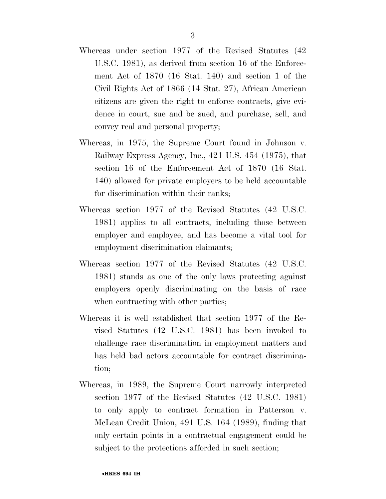- Whereas under section 1977 of the Revised Statutes (42 U.S.C. 1981), as derived from section 16 of the Enforcement Act of 1870 (16 Stat. 140) and section 1 of the Civil Rights Act of 1866 (14 Stat. 27), African American citizens are given the right to enforce contracts, give evidence in court, sue and be sued, and purchase, sell, and convey real and personal property;
- Whereas, in 1975, the Supreme Court found in Johnson v. Railway Express Agency, Inc., 421 U.S. 454 (1975), that section 16 of the Enforcement Act of 1870 (16 Stat. 140) allowed for private employers to be held accountable for discrimination within their ranks;
- Whereas section 1977 of the Revised Statutes (42 U.S.C. 1981) applies to all contracts, including those between employer and employee, and has become a vital tool for employment discrimination claimants;
- Whereas section 1977 of the Revised Statutes (42 U.S.C. 1981) stands as one of the only laws protecting against employers openly discriminating on the basis of race when contracting with other parties;
- Whereas it is well established that section 1977 of the Revised Statutes (42 U.S.C. 1981) has been invoked to challenge race discrimination in employment matters and has held bad actors accountable for contract discrimination;
- Whereas, in 1989, the Supreme Court narrowly interpreted section 1977 of the Revised Statutes (42 U.S.C. 1981) to only apply to contract formation in Patterson v. McLean Credit Union, 491 U.S. 164 (1989), finding that only certain points in a contractual engagement could be subject to the protections afforded in such section;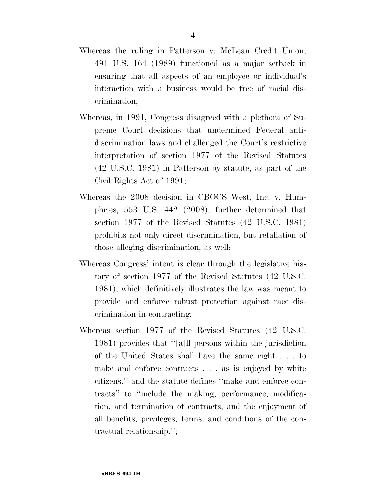- Whereas the ruling in Patterson v. McLean Credit Union, 491 U.S. 164 (1989) functioned as a major setback in ensuring that all aspects of an employee or individual's interaction with a business would be free of racial discrimination;
- Whereas, in 1991, Congress disagreed with a plethora of Supreme Court decisions that undermined Federal antidiscrimination laws and challenged the Court's restrictive interpretation of section 1977 of the Revised Statutes (42 U.S.C. 1981) in Patterson by statute, as part of the Civil Rights Act of 1991;
- Whereas the 2008 decision in CBOCS West, Inc. v. Humphries, 553 U.S. 442 (2008), further determined that section 1977 of the Revised Statutes (42 U.S.C. 1981) prohibits not only direct discrimination, but retaliation of those alleging discrimination, as well;
- Whereas Congress' intent is clear through the legislative history of section 1977 of the Revised Statutes (42 U.S.C. 1981), which definitively illustrates the law was meant to provide and enforce robust protection against race discrimination in contracting;
- Whereas section 1977 of the Revised Statutes (42 U.S.C. 1981) provides that ''[a]ll persons within the jurisdiction of the United States shall have the same right . . . to make and enforce contracts . . . as is enjoyed by white citizens.'' and the statute defines ''make and enforce contracts'' to ''include the making, performance, modification, and termination of contracts, and the enjoyment of all benefits, privileges, terms, and conditions of the contractual relationship.'';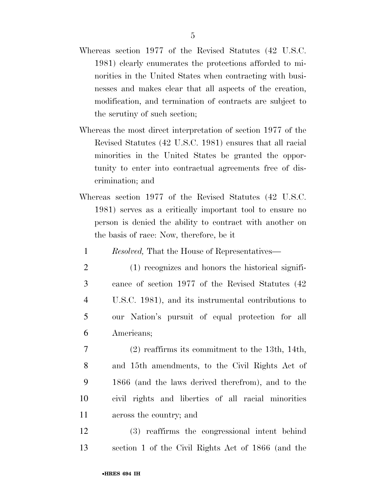- Whereas section 1977 of the Revised Statutes (42 U.S.C. 1981) clearly enumerates the protections afforded to minorities in the United States when contracting with businesses and makes clear that all aspects of the creation, modification, and termination of contracts are subject to the scrutiny of such section;
- Whereas the most direct interpretation of section 1977 of the Revised Statutes (42 U.S.C. 1981) ensures that all racial minorities in the United States be granted the opportunity to enter into contractual agreements free of discrimination; and
- Whereas section 1977 of the Revised Statutes (42 U.S.C. 1981) serves as a critically important tool to ensure no person is denied the ability to contract with another on the basis of race: Now, therefore, be it

1 *Resolved,* That the House of Representatives—

- 2 (1) recognizes and honors the historical signifi-3 cance of section 1977 of the Revised Statutes (42 4 U.S.C. 1981), and its instrumental contributions to 5 our Nation's pursuit of equal protection for all 6 Americans;
- 7 (2) reaffirms its commitment to the 13th, 14th, 8 and 15th amendments, to the Civil Rights Act of 9 1866 (and the laws derived therefrom), and to the 10 civil rights and liberties of all racial minorities 11 across the country; and
- 12 (3) reaffirms the congressional intent behind 13 section 1 of the Civil Rights Act of 1866 (and the